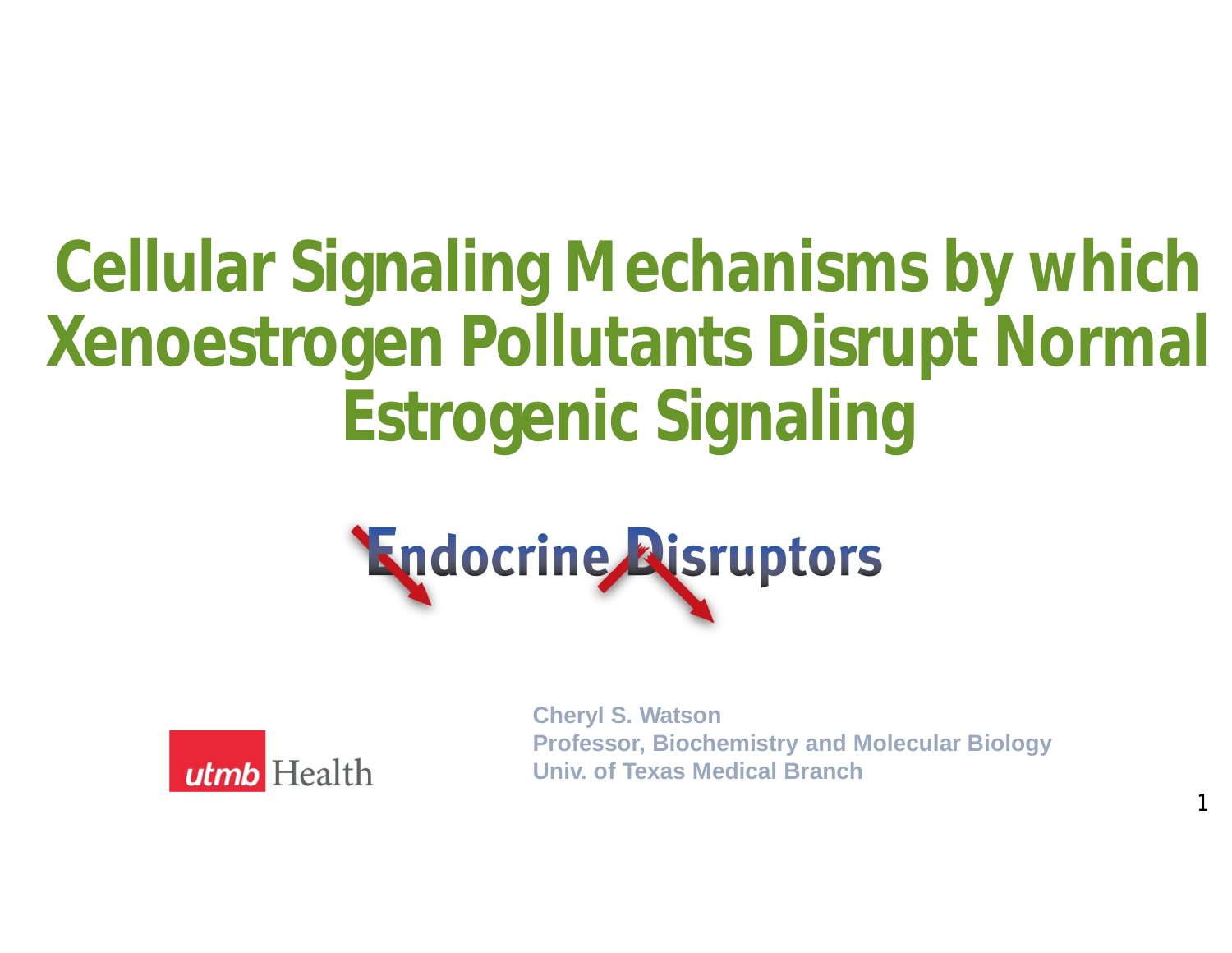# **Cellular Signaling Mechanisms by which Xenoestrogen Pollutants Disrupt Normal Estrogenic Signaling**





**Cheryl S. Watson Professor, Biochemistry and Molecular Biology Univ. of Texas Medical Branch**

1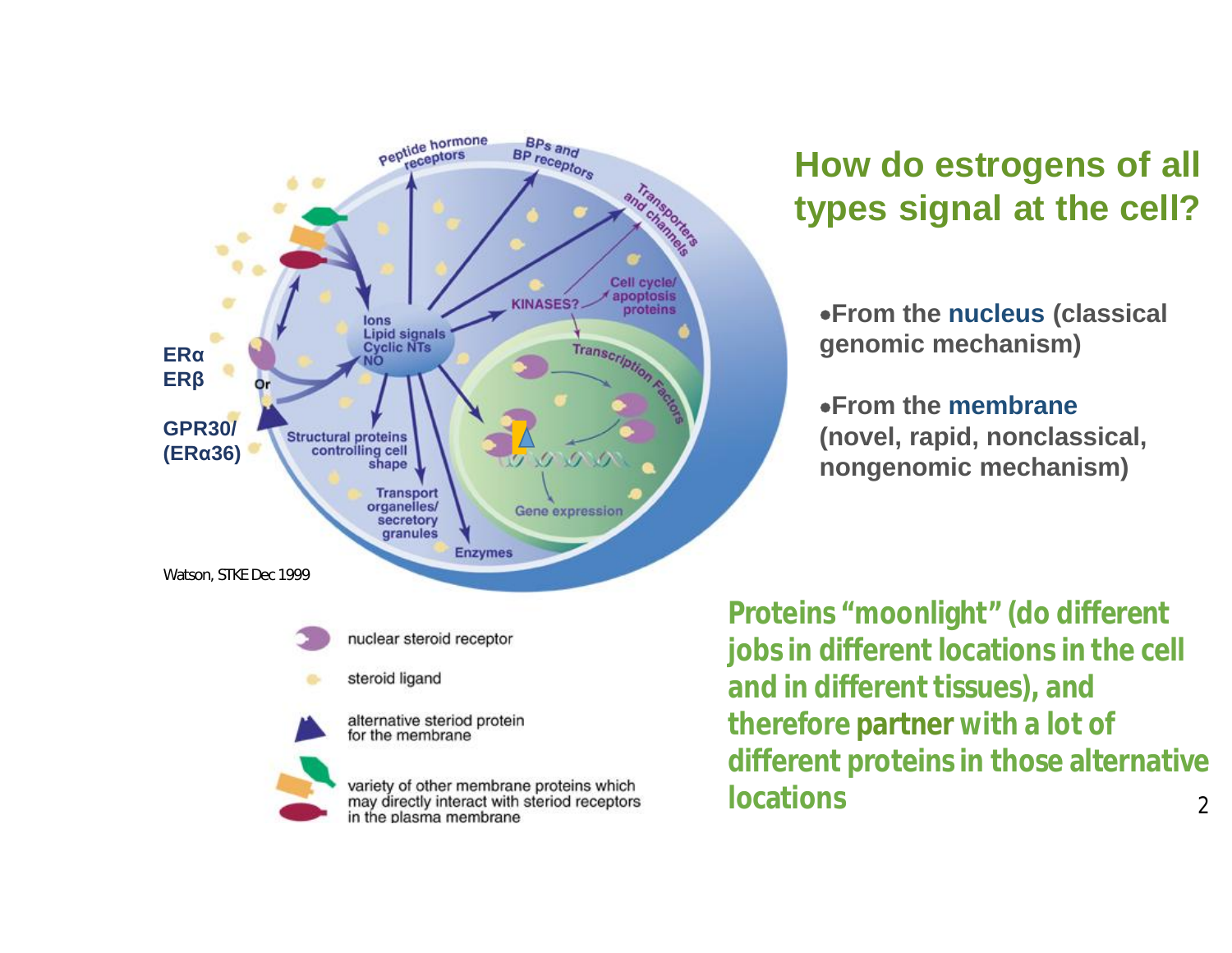



steroid ligand

alternative steriod protein for the membrane

variety of other membrane proteins which<br>may directly interact with steriod receptors in the plasma membrane

#### **How do estrogens of all types signal at the cell?**

·**From the nucleus (classical genomic mechanism)**

·**From the membrane (novel, rapid, nonclassical, nongenomic mechanism)**

**Proteins "moonlight" (do different jobs in different locations in the cell and in different tissues), and therefore partner with a lot of different proteins in those alternative locations** 2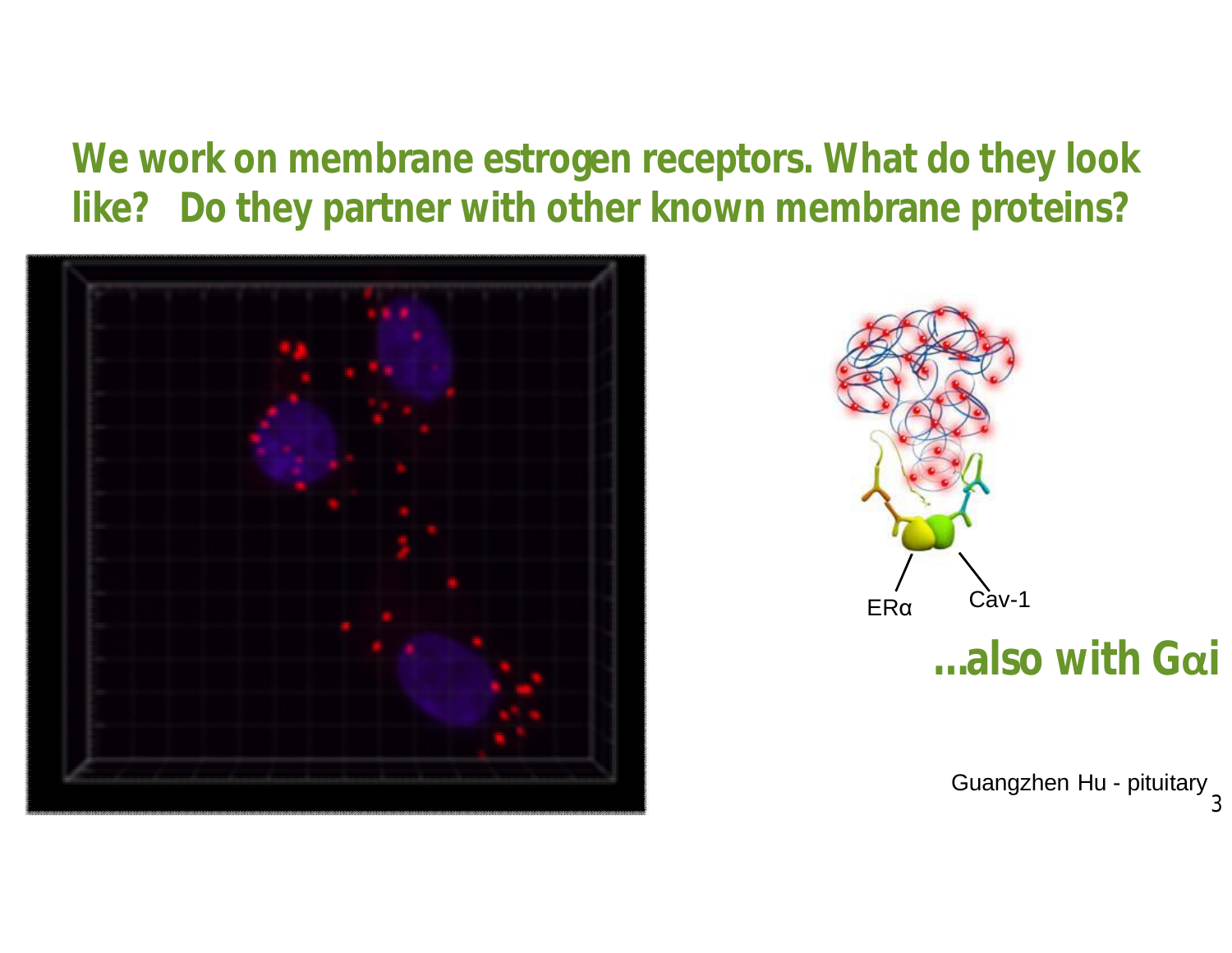### **We work on membrane estrogen receptors. What do they look like? Do they partner with other known membrane proteins?**





Guangzhen Hu - pituitary 3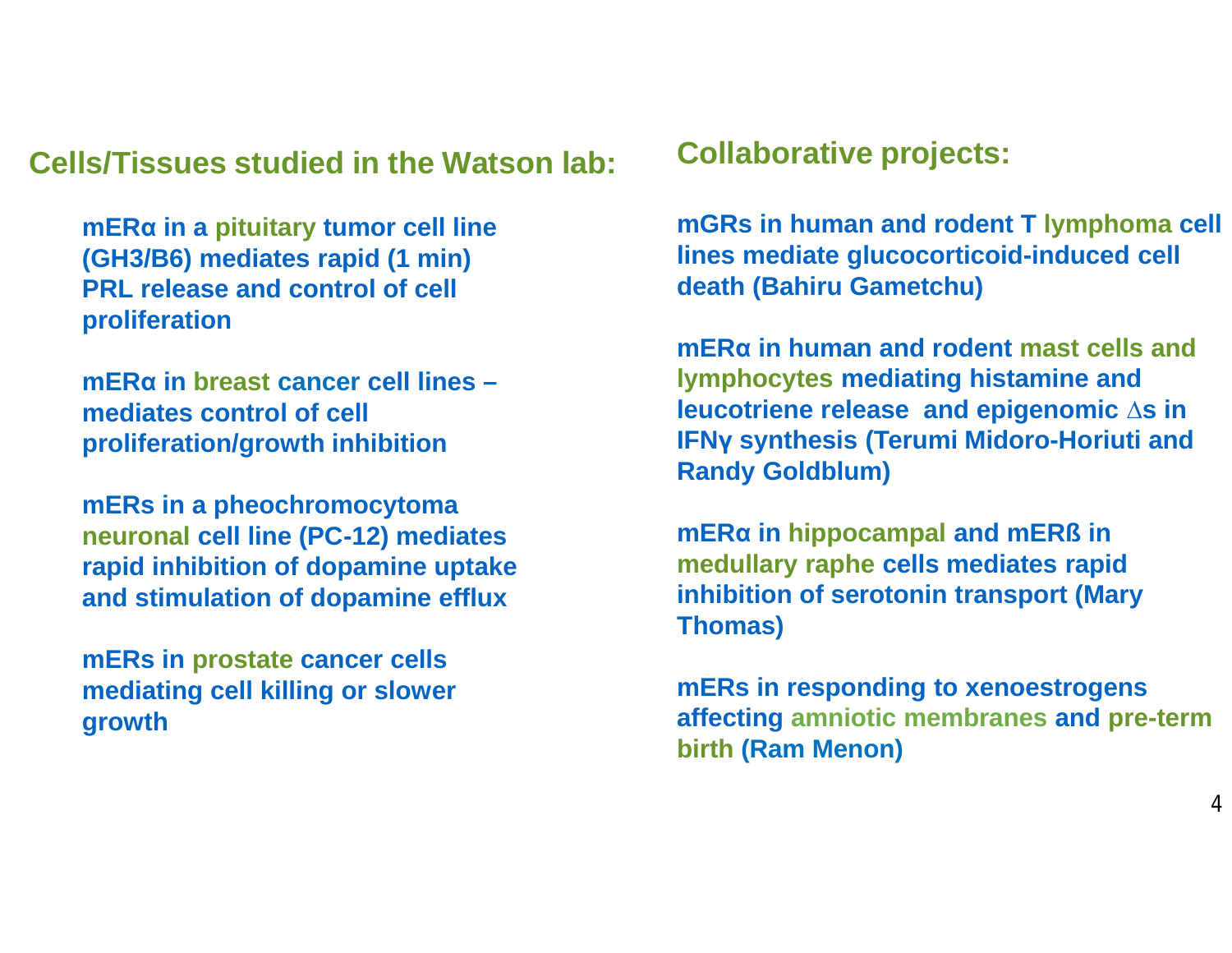**Cells/Tissues studied in the Watson lab: Collaborative projects:**

**mERα in a pituitary tumor cell line (GH3/B6) mediates rapid (1 min) PRL release and control of cell proliferation**

**mERα in breast cancer cell lines – mediates control of cell proliferation/growth inhibition**

**mERs in a pheochromocytoma neuronal cell line (PC-12) mediates rapid inhibition of dopamine uptake and stimulation of dopamine efflux**

**mERs in prostate cancer cells mediating cell killing or slower growth**

**mGRs in human and rodent T lymphoma cell lines mediate glucocorticoid-induced cell death (Bahiru Gametchu)**

**mERα in human and rodent mast cells and lymphocytes mediating histamine and leucotriene release and epigenomic ∆s in IFNγ synthesis (Terumi Midoro-Horiuti and Randy Goldblum)**

**mERα in hippocampal and mERß in medullary raphe cells mediates rapid inhibition of serotonin transport (Mary Thomas)**

**mERs in responding to xenoestrogens affecting amniotic membranes and pre-term birth (Ram Menon)**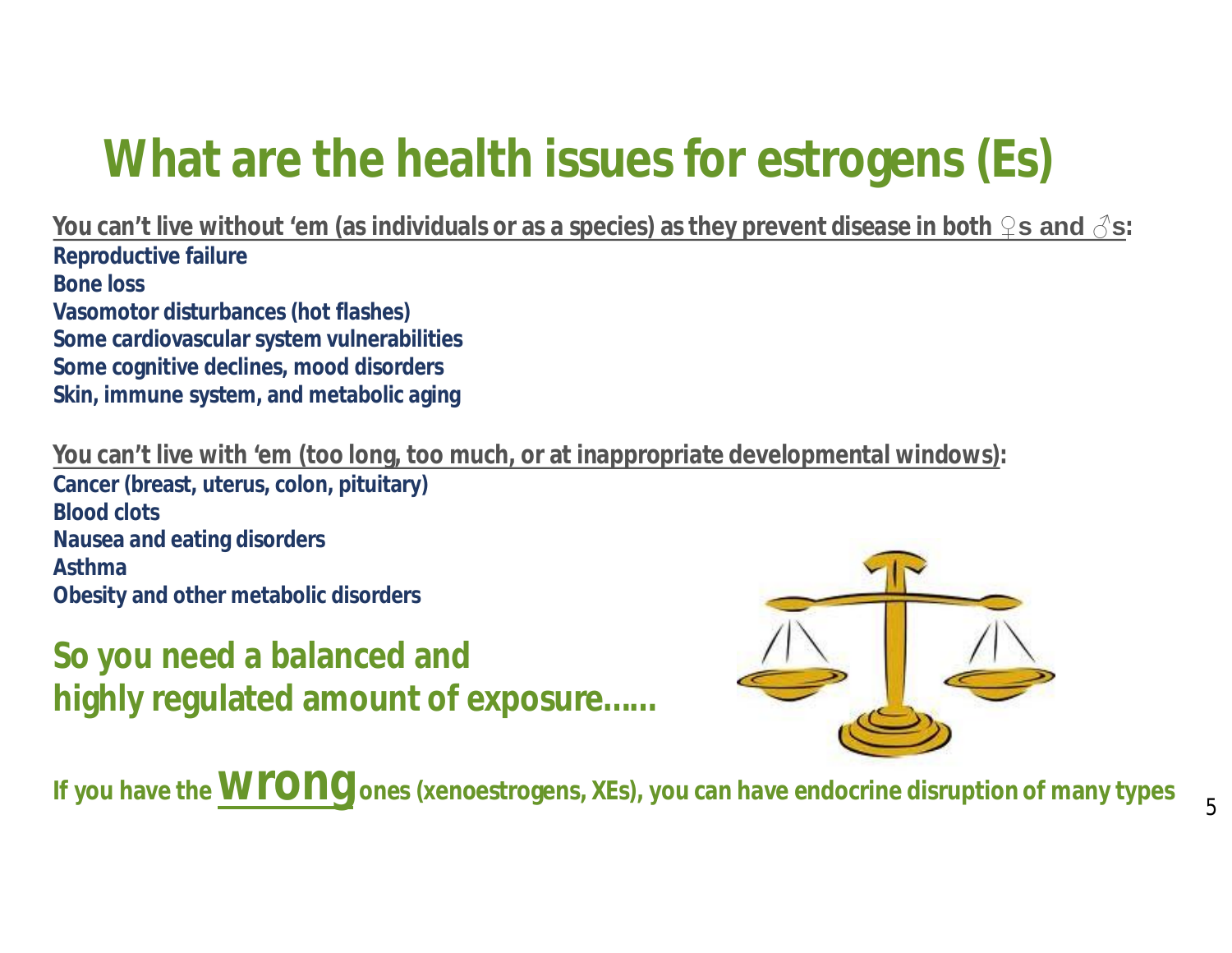## **What are the health issues for estrogens (Es)**

**You can't live without 'em (as individuals or as a species) as they prevent disease in both ♀s and ♂s: Reproductive failure Bone loss Vasomotor disturbances (hot flashes) Some cardiovascular system vulnerabilities Some cognitive declines, mood disorders Skin, immune system, and metabolic aging**

**You can't live with 'em (too long, too much, or at inappropriate developmental windows):**

**Cancer (breast, uterus, colon, pituitary) Blood clots Nausea and eating disorders Asthma Obesity and other metabolic disorders**

**So you need a balanced and highly regulated amount of exposure……**



**If you have the <b>WIONG** ones (xenoestrogens, XEs), you can have endocrine disruption of many types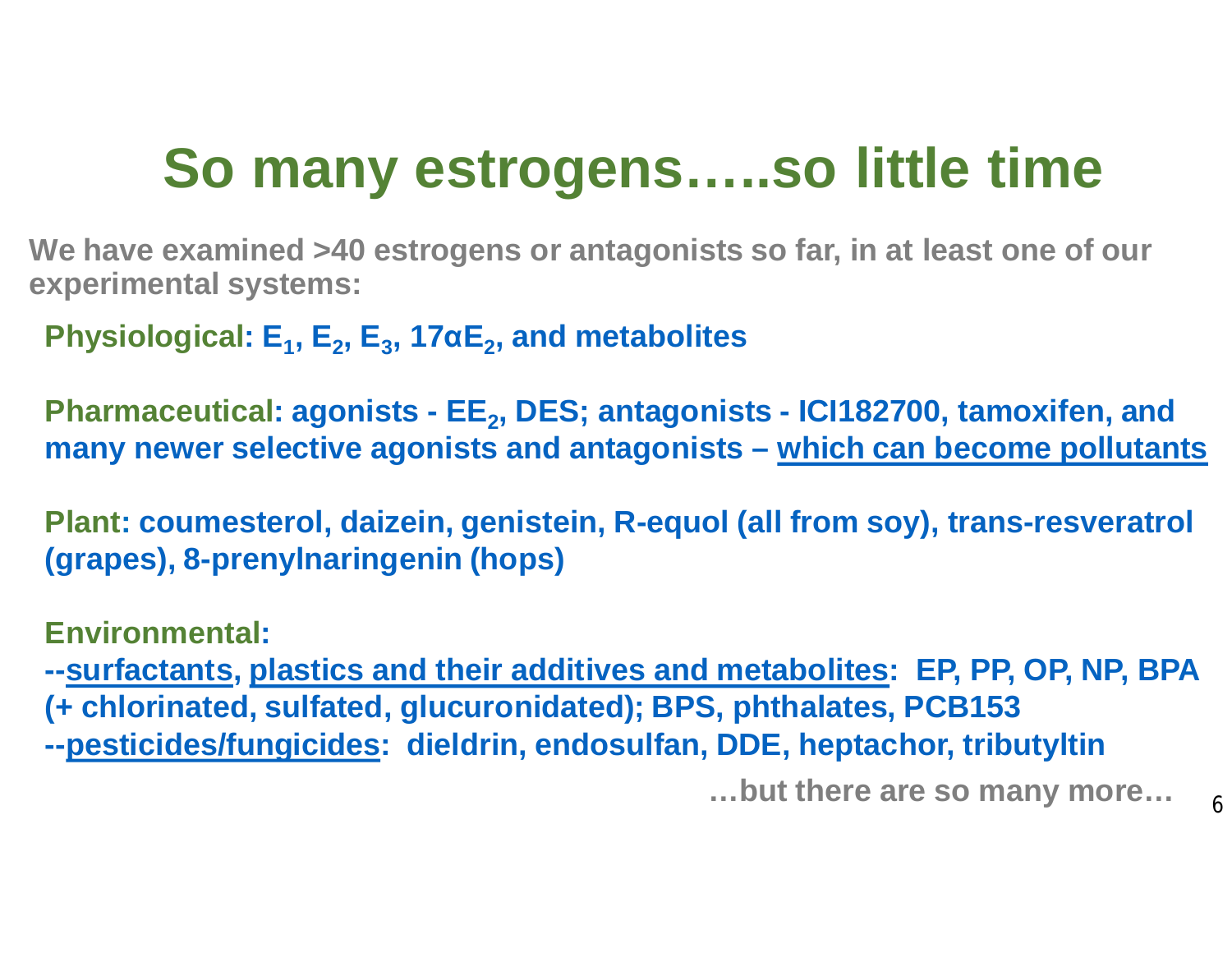## **So many estrogens…..so little time**

**We have examined >40 estrogens or antagonists so far, in at least one of our experimental systems:**

**Physiological: E<sup>1</sup> , E<sup>2</sup> , E<sup>3</sup> , 17αE<sup>2</sup> , and metabolites**

Pharmaceutical: agonists - EE<sub>2</sub>, DES; antagonists - ICl182700, tamoxifen, and **many newer selective agonists and antagonists – which can become pollutants**

**Plant: coumesterol, daizein, genistein, R-equol (all from soy), trans-resveratrol (grapes), 8-prenylnaringenin (hops)**

**Environmental:**

**--surfactants, plastics and their additives and metabolites: EP, PP, OP, NP, BPA (+ chlorinated, sulfated, glucuronidated); BPS, phthalates, PCB153 --pesticides/fungicides: dieldrin, endosulfan, DDE, heptachor, tributyltin**

**…but there are so many more…**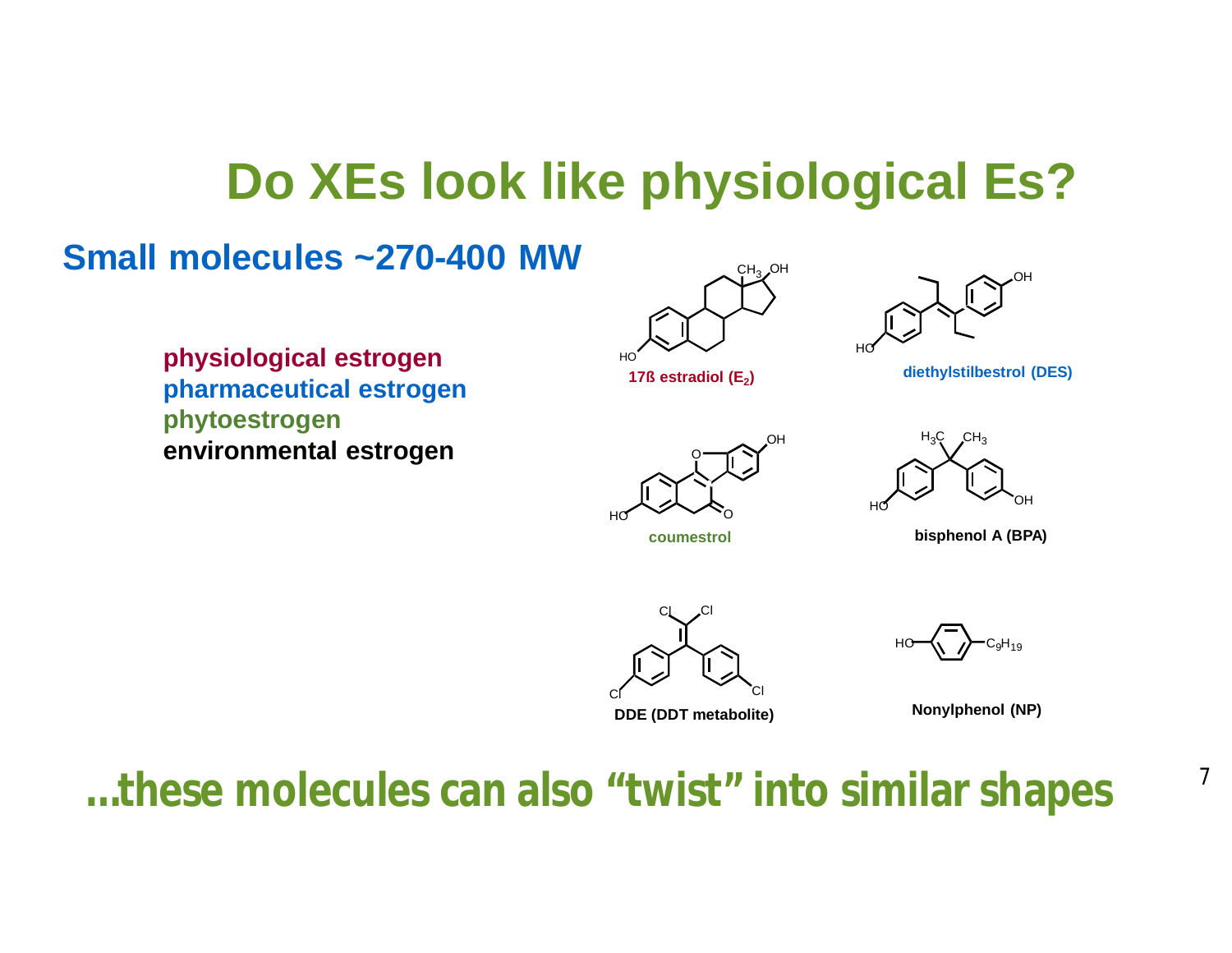### **Do XEs look like physiological Es?**

#### **Small molecules ~270-400 MW**





**physiological estrogen pharmaceutical estrogen phytoestrogen environmental estrogen**



17ß estradiol (E<sub>2</sub>)



O HO

**coumestrol**



**bisphenol A (BPA)**



**DDE (DDT metabolite)**

HO

**Nonylphenol (NP)**

 $\mathrm{C_{9}H_{19}}$ 

**…these molecules can also "twist" into similar shapes** <sup>7</sup>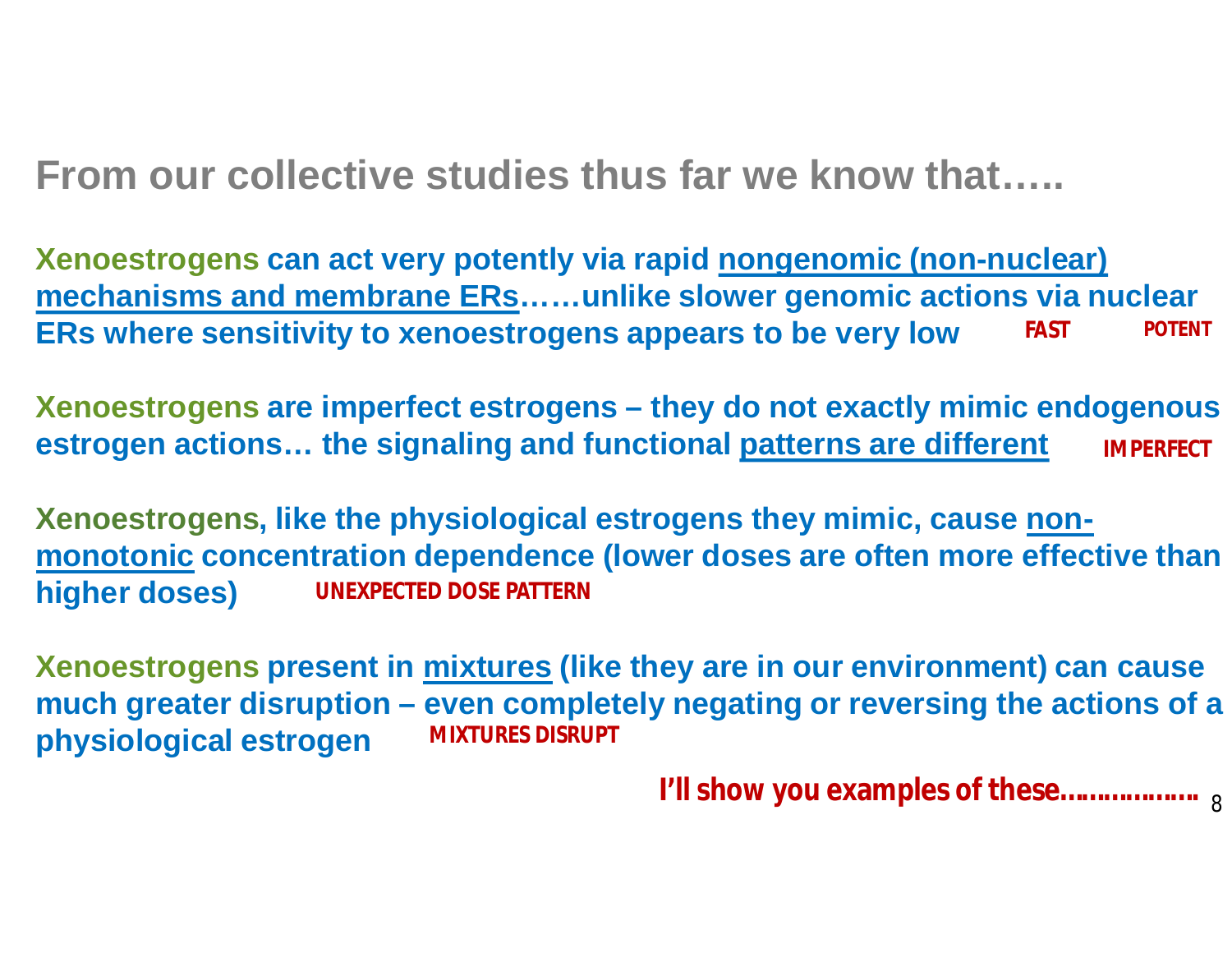**From our collective studies thus far we know that…..**

**Xenoestrogens can act very potently via rapid nongenomic (non-nuclear) mechanisms and membrane ERs……unlike slower genomic actions via nuclear ERs where sensitivity to xenoestrogens appears to be very low FAST POTENT**

**Xenoestrogens are imperfect estrogens – they do not exactly mimic endogenous estrogen actions… the signaling and functional patterns are different IMPERFECT**

**Xenoestrogens, like the physiological estrogens they mimic, cause nonmonotonic concentration dependence (lower doses are often more effective than higher doses) UNEXPECTED DOSE PATTERN**

**Xenoestrogens present in mixtures (like they are in our environment) can cause much greater disruption – even completely negating or reversing the actions of a physiological estrogen MIXTURES DISRUPT**

**I'll show you examples of these……………….** 8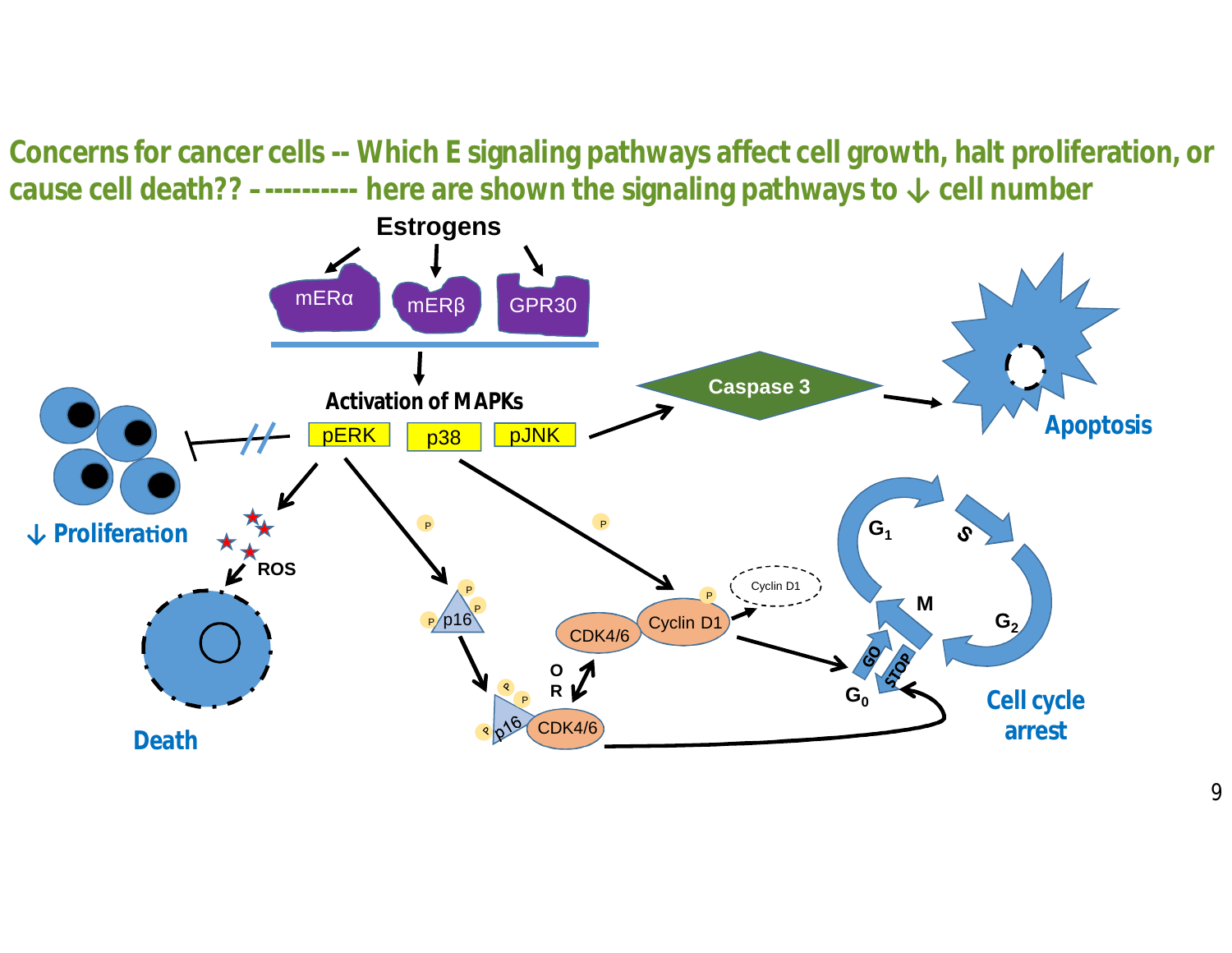**Concerns for cancer cells -- Which E signaling pathways affect cell growth, halt proliferation, or cause cell death?? –---------- here are shown the signaling pathways to ↓ cell number**

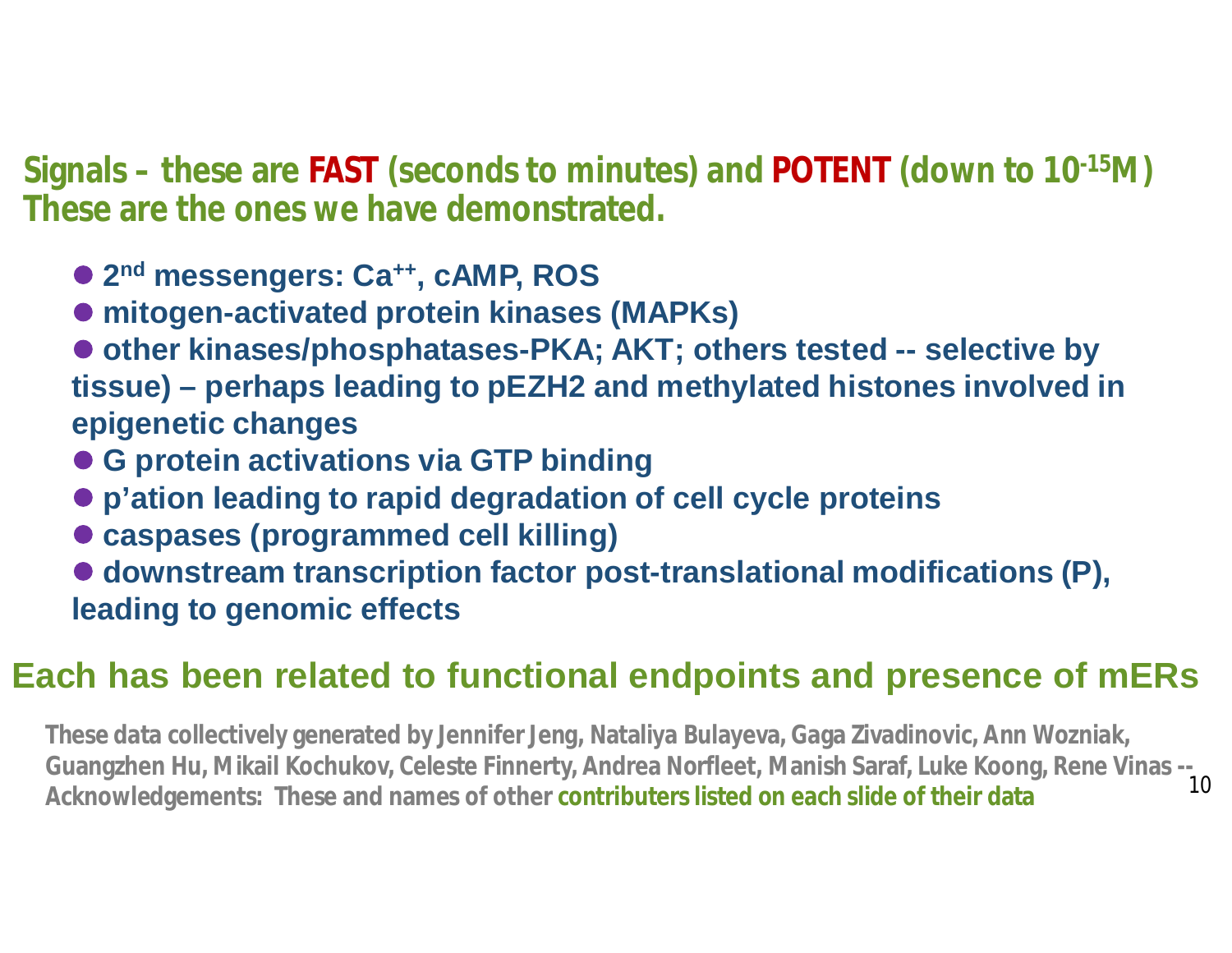**Signals – these are FAST (seconds to minutes) and POTENT (down to 10-15M) These are the ones we have demonstrated.**

- l **2 nd messengers: Ca++, cAMP, ROS**
- mitogen-activated protein kinases (MAPKs)
- other kinases/phosphatases-PKA; AKT; others tested -- selective by **tissue) – perhaps leading to pEZH2 and methylated histones involved in epigenetic changes**
- **G protein activations via GTP binding**
- l **p'ation leading to rapid degradation of cell cycle proteins**
- $\bullet$  **caspases (programmed cell killing)**
- downstream transcription factor post-translational modifications (P), **leading to genomic effects**

#### **Each has been related to functional endpoints and presence of mERs**

**These data collectively generated by Jennifer Jeng, Nataliya Bulayeva, Gaga Zivadinovic, Ann Wozniak, Guangzhen Hu, Mikail Kochukov, Celeste Finnerty, Andrea Norfleet, Manish Saraf, Luke Koong, Rene Vinas -- Acknowledgements: These and names of other contributers listed on each slide of their data** 10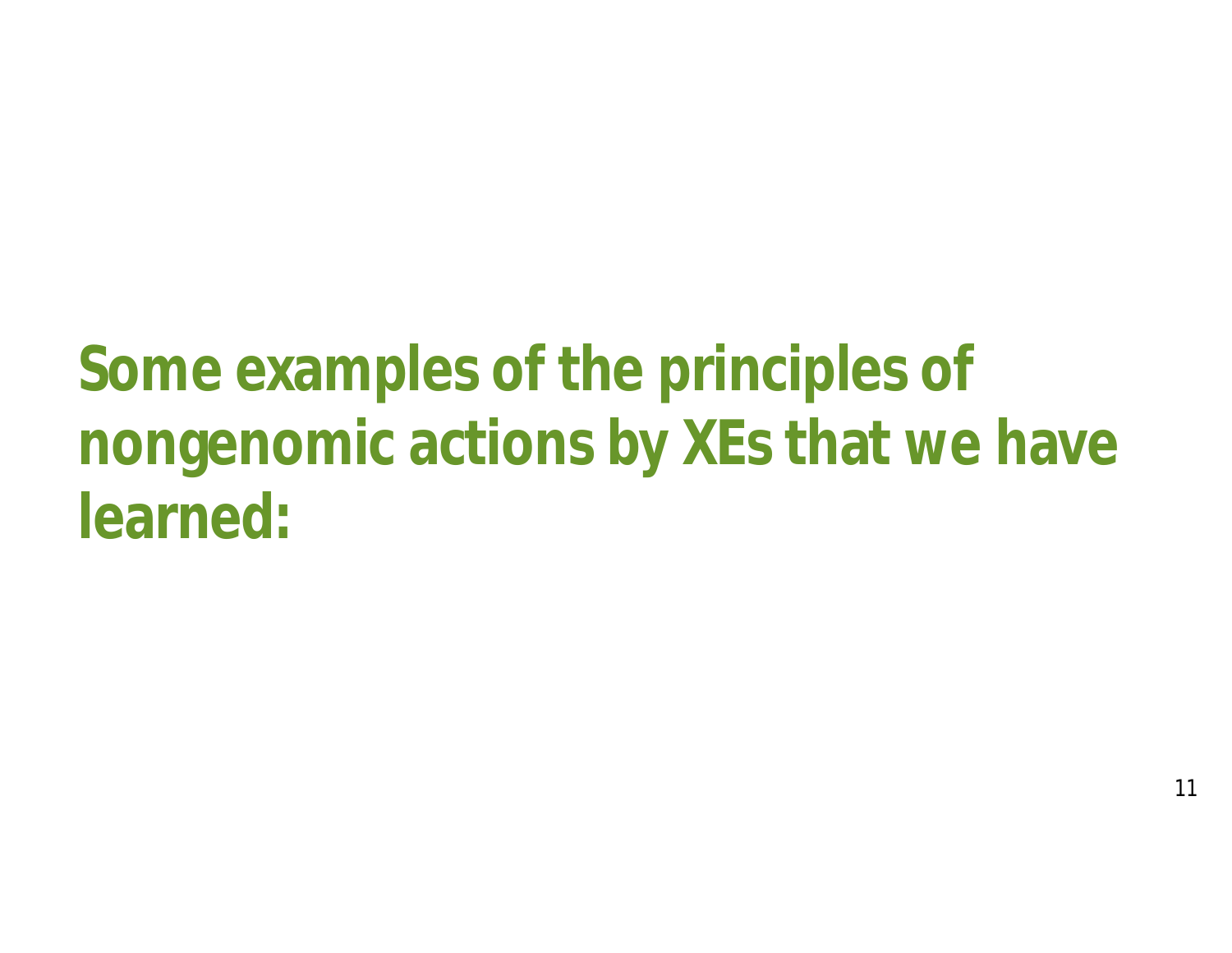**Some examples of the principles of nongenomic actions by XEs that we have learned:**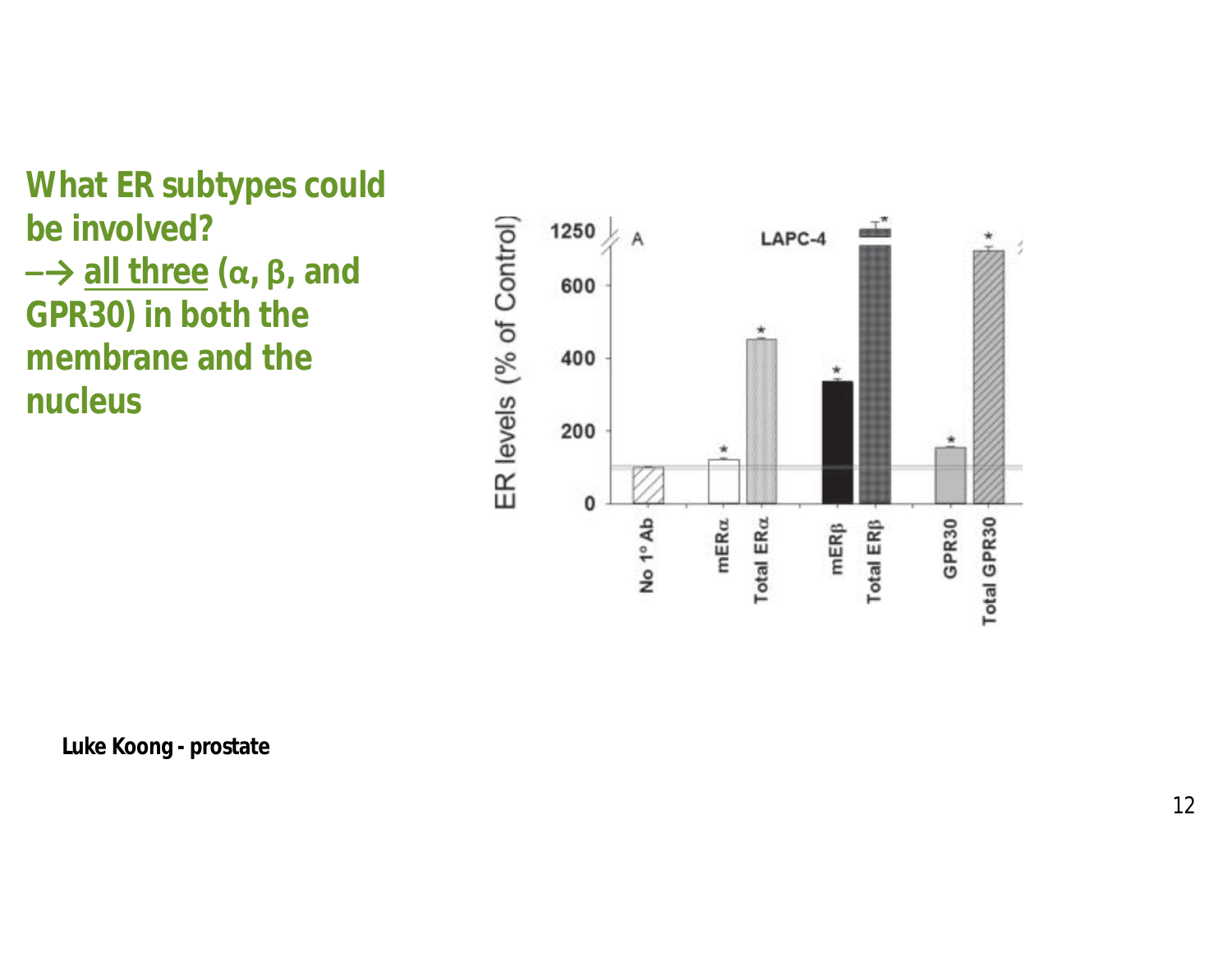**What ER subtypes could be involved? –→ all three (α, β, and GPR30) in both the membrane and the nucleus**



**Luke Koong - prostate**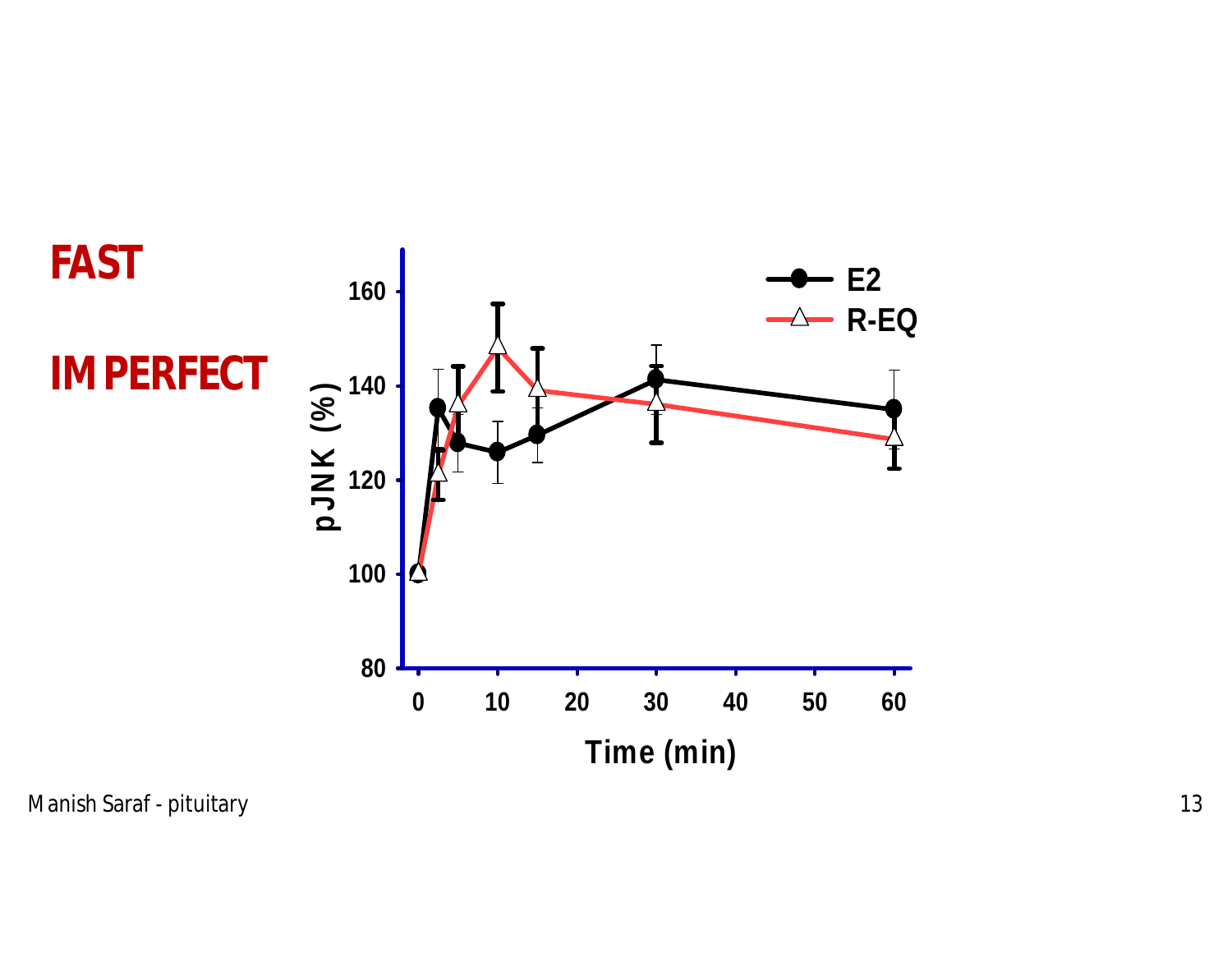

Manish Saraf - pituitary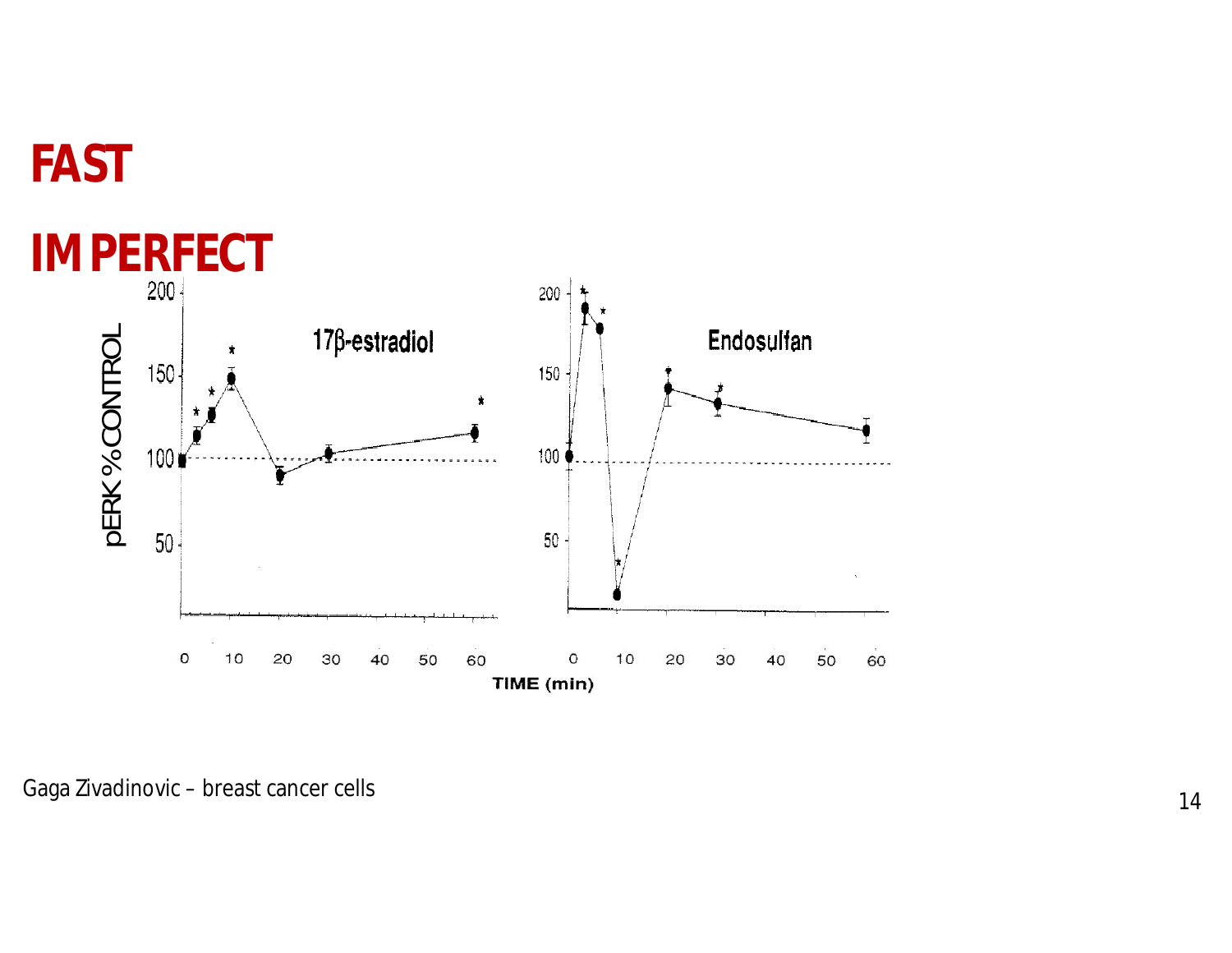

### **FAST**

Gaga Zivadinovic – breast cancer cells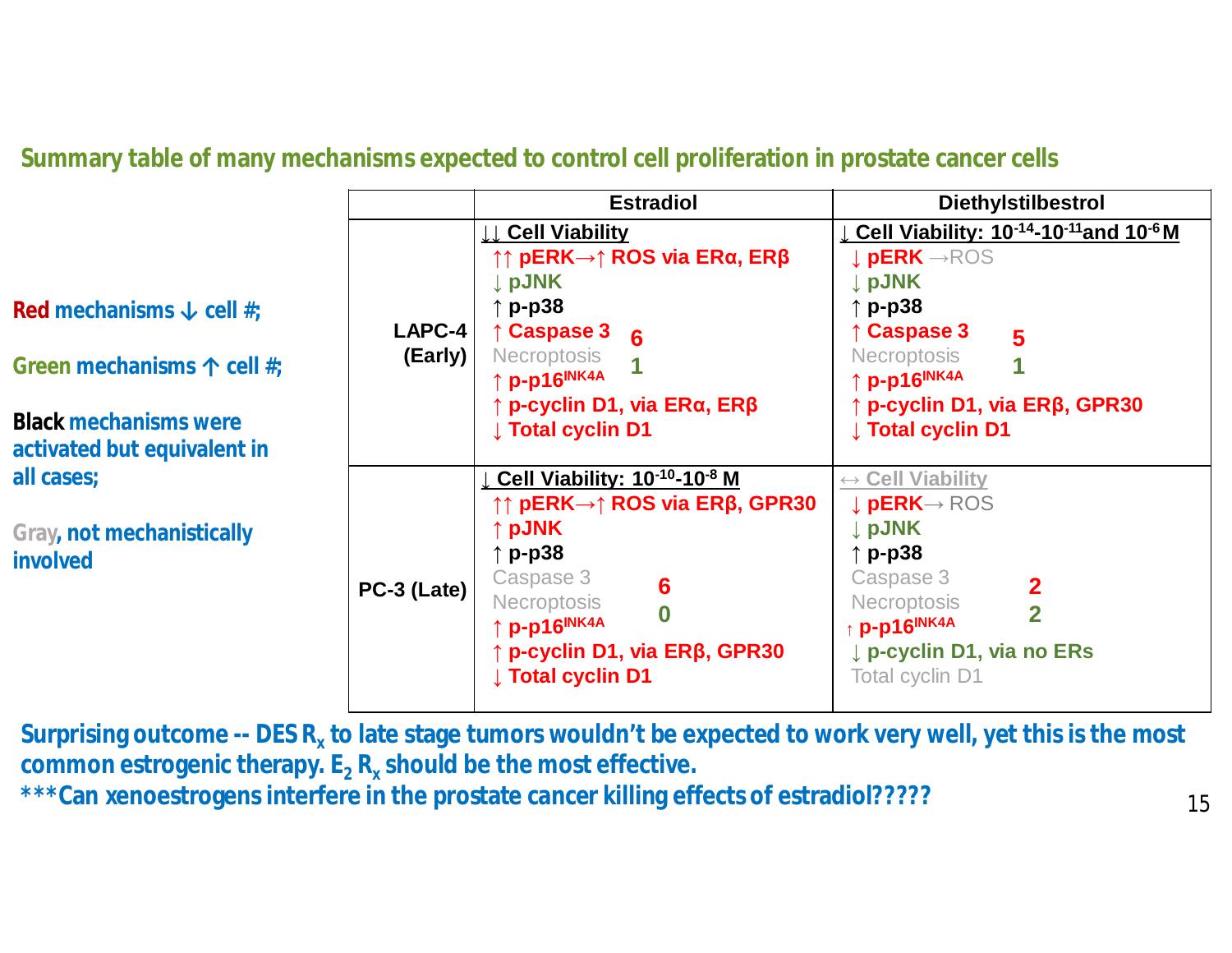**Summary table of many mechanisms expected to control cell proliferation in prostate cancer cells**

|                                                                                                                                                                                                  |                   | <b>Estradiol</b>                                                                                                                                                                                                                                                                     | <b>Diethylstilbestrol</b>                                                                                                                                                                                                                                 |
|--------------------------------------------------------------------------------------------------------------------------------------------------------------------------------------------------|-------------------|--------------------------------------------------------------------------------------------------------------------------------------------------------------------------------------------------------------------------------------------------------------------------------------|-----------------------------------------------------------------------------------------------------------------------------------------------------------------------------------------------------------------------------------------------------------|
| Red mechanisms $\downarrow$ cell #;<br>Green mechanisms $\uparrow$ cell #;<br><b>Black mechanisms were</b><br>activated but equivalent in<br>all cases;<br>Gray, not mechanistically<br>involved | LAPC-4<br>(Early) | <b>Cell Viability</b><br>$\uparrow$ pERK→ $\uparrow$ ROS via ERα, ERβ<br><b>J</b> pJNK<br>p-p38<br><b>Caspase 3</b><br>- 6<br><b>Necroptosis</b><br>↑ <b>p-p16<sup>INK4A</sup></b><br>$\uparrow$ p-cyclin D1, via ER $\alpha$ , ER $\beta$<br><b>J</b> Total cyclin D1               | Cell Viability: 10-14-10-11 and 10-6 M<br><b>L</b> pERK -- ROS<br>↓ pJNK<br>$\uparrow$ p-p38<br>$\uparrow$ Caspase 3<br>5<br><b>Necroptosis</b><br>↑ p-p16 <sup>INK4A</sup><br>$\uparrow$ p-cyclin D1, via ER $\beta$ , GPR30<br><b>J</b> Total cyclin D1 |
|                                                                                                                                                                                                  | PC-3 (Late)       | Cell Viability: $10^{-10} - 10^{-8}$ M<br>$↑$ ↑ pERK→↑ ROS via ERβ, GPR30<br>$\uparrow$ pJNK<br>$p-p38$<br>Caspase 3<br>6<br><b>Necroptosis</b><br>$\overline{\mathbf{0}}$<br>↑ p-p16 <sup>INK4A</sup><br>$\uparrow$ p-cyclin D1, via ER $\beta$ , GPR30<br><b>J</b> Total cyclin D1 | $\leftrightarrow$ Cell Viability<br>↓ pERK→ ROS<br>↓ pJNK<br>$\uparrow$ p-p38<br>Caspase 3<br>$\overline{2}$<br><b>Necroptosis</b><br>$\overline{2}$<br>p-p16INK4A<br>p-cyclin D1, via no ERs<br>Total cyclin D1                                          |

**Surprising outcome -- DES R<sup>x</sup> to late stage tumors wouldn't be expected to work very well, yet this is the most common estrogenic therapy. E<sup>2</sup> R<sup>x</sup> should be the most effective. \*\*\*Can xenoestrogens interfere in the prostate cancer killing effects of estradiol?????**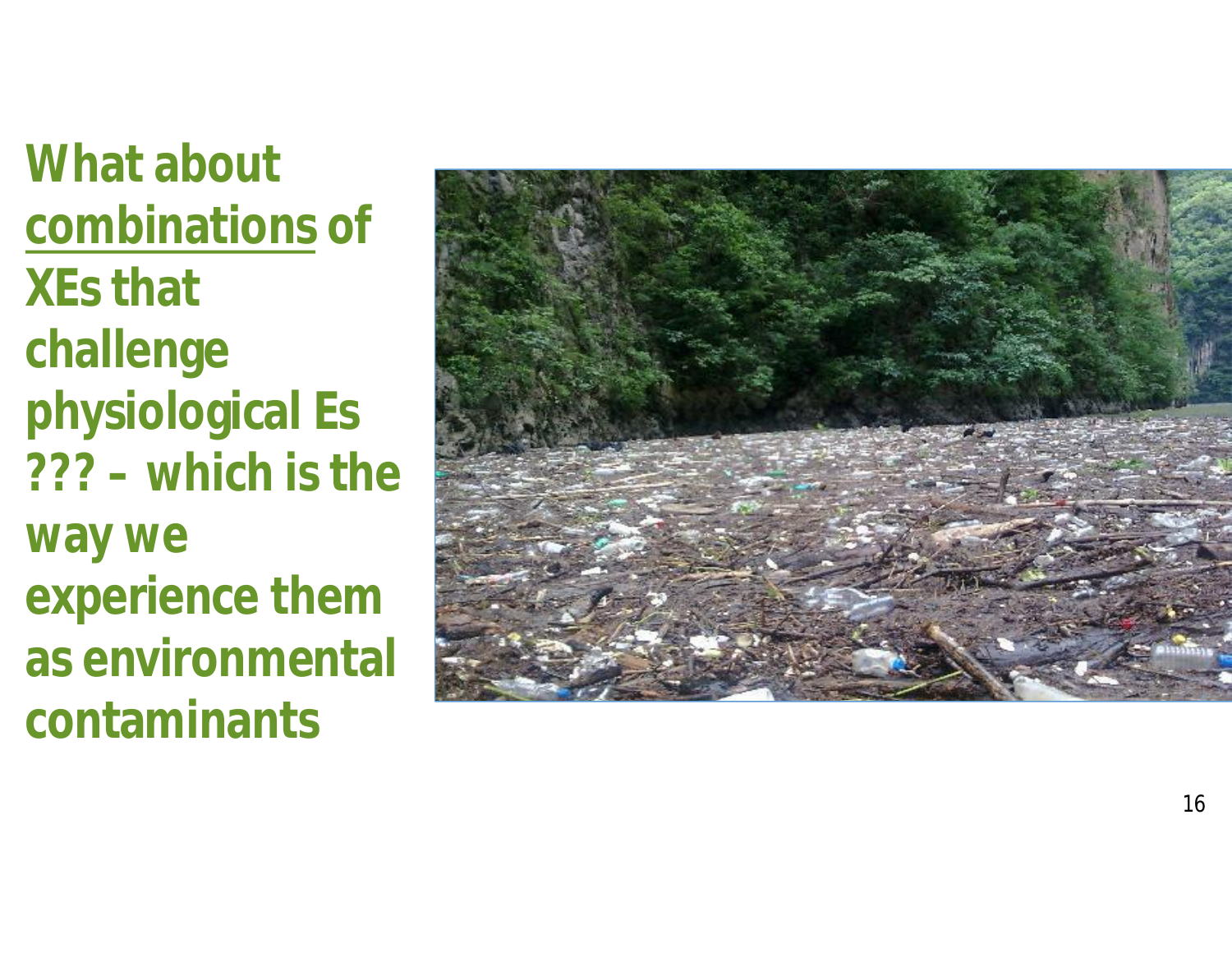**What about combinations of XEs that challenge physiological Es ??? – which is the way we experience them as environmental contaminants**

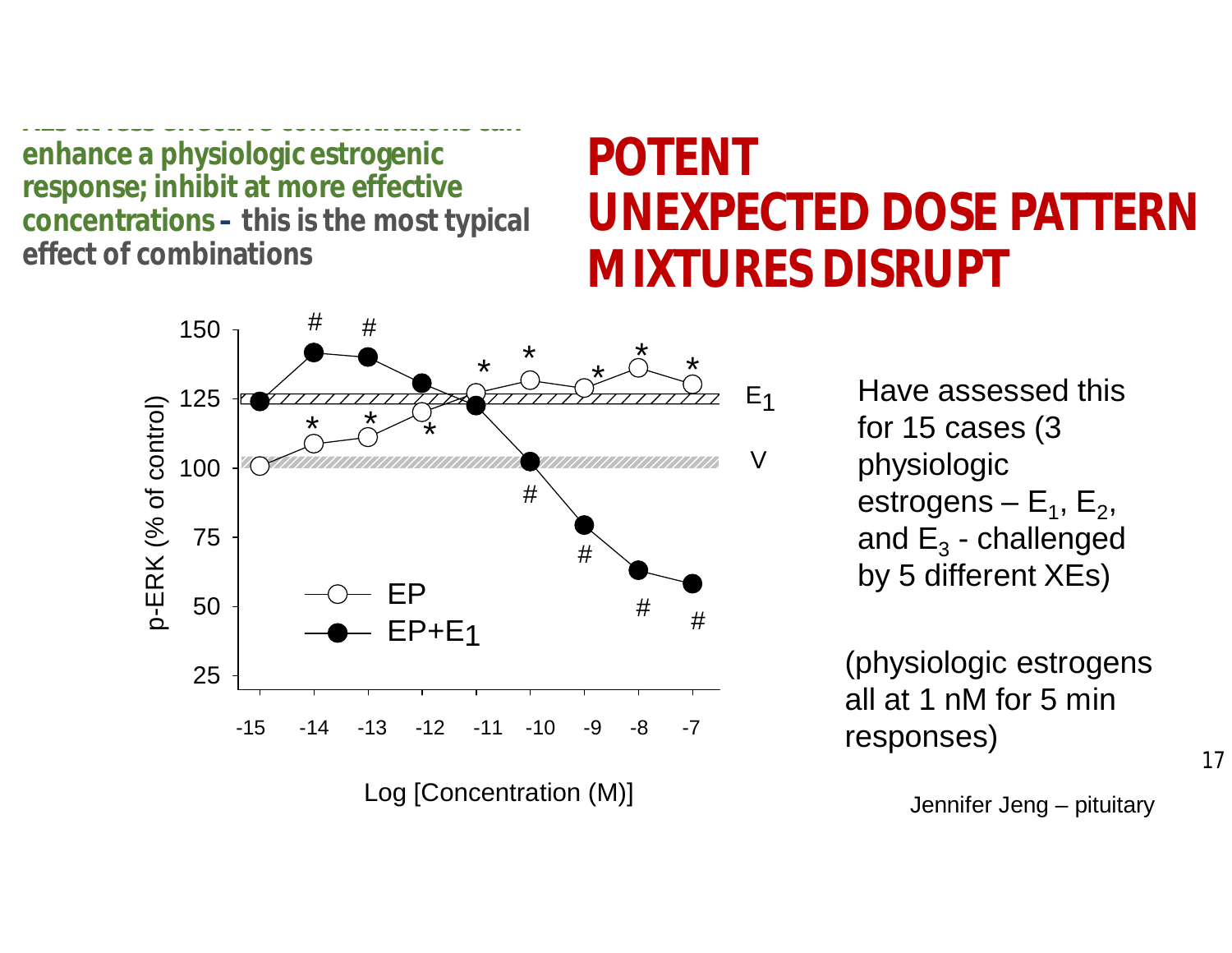**XEs at less effective concentrations can enhance a physiologic estrogenic response; inhibit at more effective concentrations – this is the most typical effect of combinations**

### **UNEXPECTED DOSE PATTERN MIXTURES DISRUPT POTENT**

25 50 75 100 125 150 EP EP+E1  $\frac{*}{\sqrt{2}}$ # # \* \* # #  $\biguparrow$ \* # # \*  $E<sub>1</sub>$  $\overline{V}$  $\begin{matrix} \star \\ \searrow \end{matrix}$  -15 -14 -13 -12 -11 -10 -9 -8 -7 p-E  $\boldsymbol{\alpha}$ K (% of c ontrol) Log [Concentration (M)]

Have assessed this for 15 cases (3 physiologic estrogens –  $\mathsf{E}_1$ ,  $\mathsf{E}_2$ , and  $\mathsf{E}_3$  - challenged by 5 different XEs)

(physiologic estrogens all at 1 nM for 5 min responses)

Jennifer Jeng – pituitary

17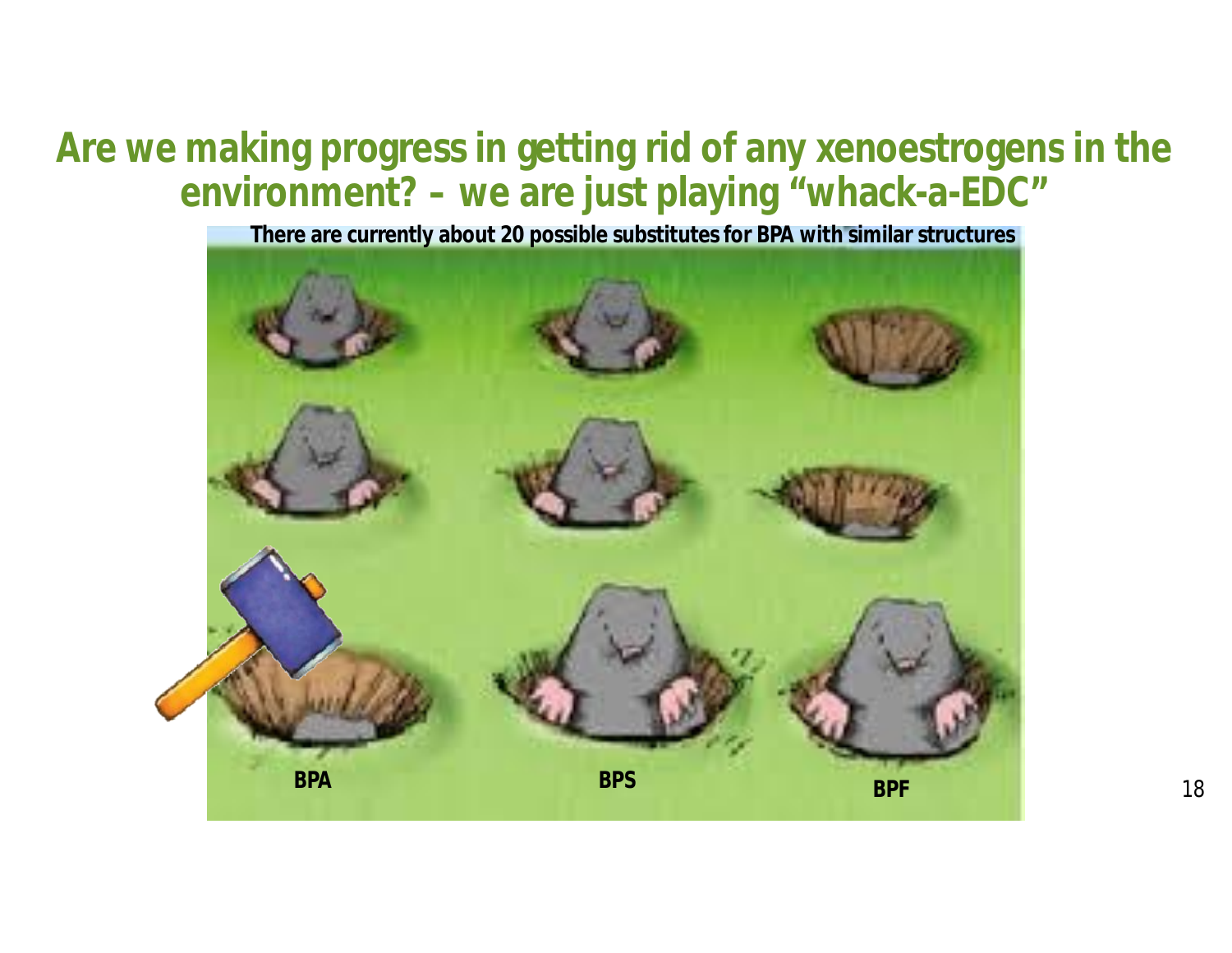#### **Are we making progress in getting rid of any xenoestrogens in the environment? – we are just playing "whack-a-EDC"**

**There are currently about 20 possible substitutes for BPA with similar structures**

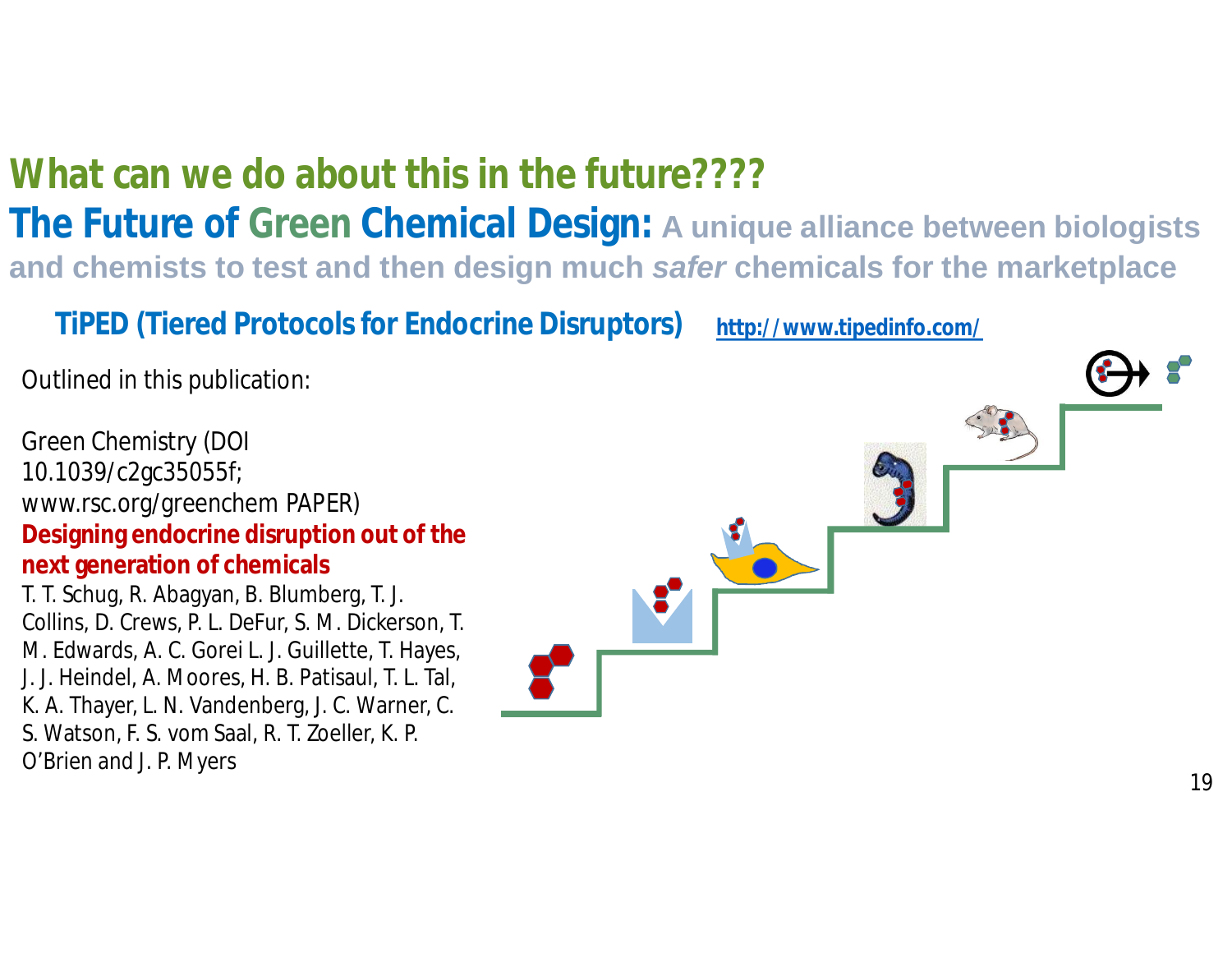#### **What can we do about this in the future????**

**The Future of Green Chemical Design: A unique alliance between biologists and chemists to test and then design much** *safer* **chemicals for the marketplace**

**TiPED (Tiered Protocols for Endocrine Disruptors) http://www.tipedinfo.com/**

Outlined in this publication:

Green Chemistry (DOI 10.1039/c2gc35055f; www.rsc.org/greenchem PAPER) **Designing endocrine disruption out of the next generation of chemicals** T. T. Schug, R. Abagyan, B. Blumberg, T. J. Collins, D. Crews, P. L. DeFur, S. M. Dickerson, T. M. Edwards, A. C. Gorei L. J. Guillette, T. Hayes, J. J. Heindel, A. Moores, H. B. Patisaul, T. L. Tal, K. A. Thayer, L. N. Vandenberg, J. C. Warner, C. S. Watson, F. S. vom Saal, R. T. Zoeller, K. P. O'Brien and J. P. Myers

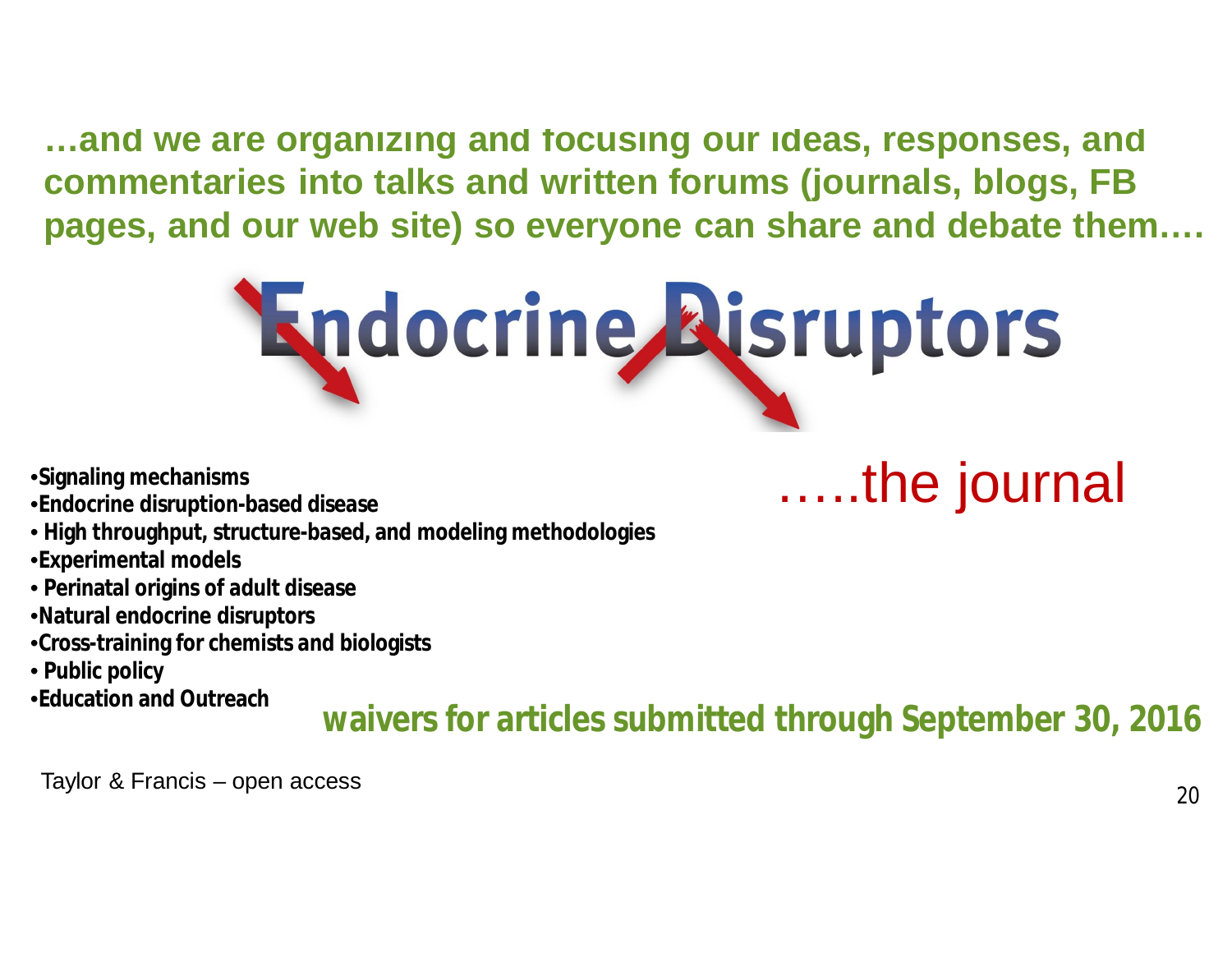**…and we are organizing and focusing our ideas, responses, and commentaries into talks and written forums (journals, blogs, FB pages, and our web site) so everyone can share and debate them….**



- •**Signaling mechanisms**
- •**Endocrine disruption-based disease**
- **High throughput, structure-based, and modeling methodologies**
- •**Experimental models**
- **Perinatal origins of adult disease**
- •**Natural endocrine disruptors**
- •**Cross-training for chemists and biologists**
- **Public policy**
- •**Education and Outreach**

**waivers for articles submitted through September 30, 2016**

…..the journal

Taylor & Francis – open access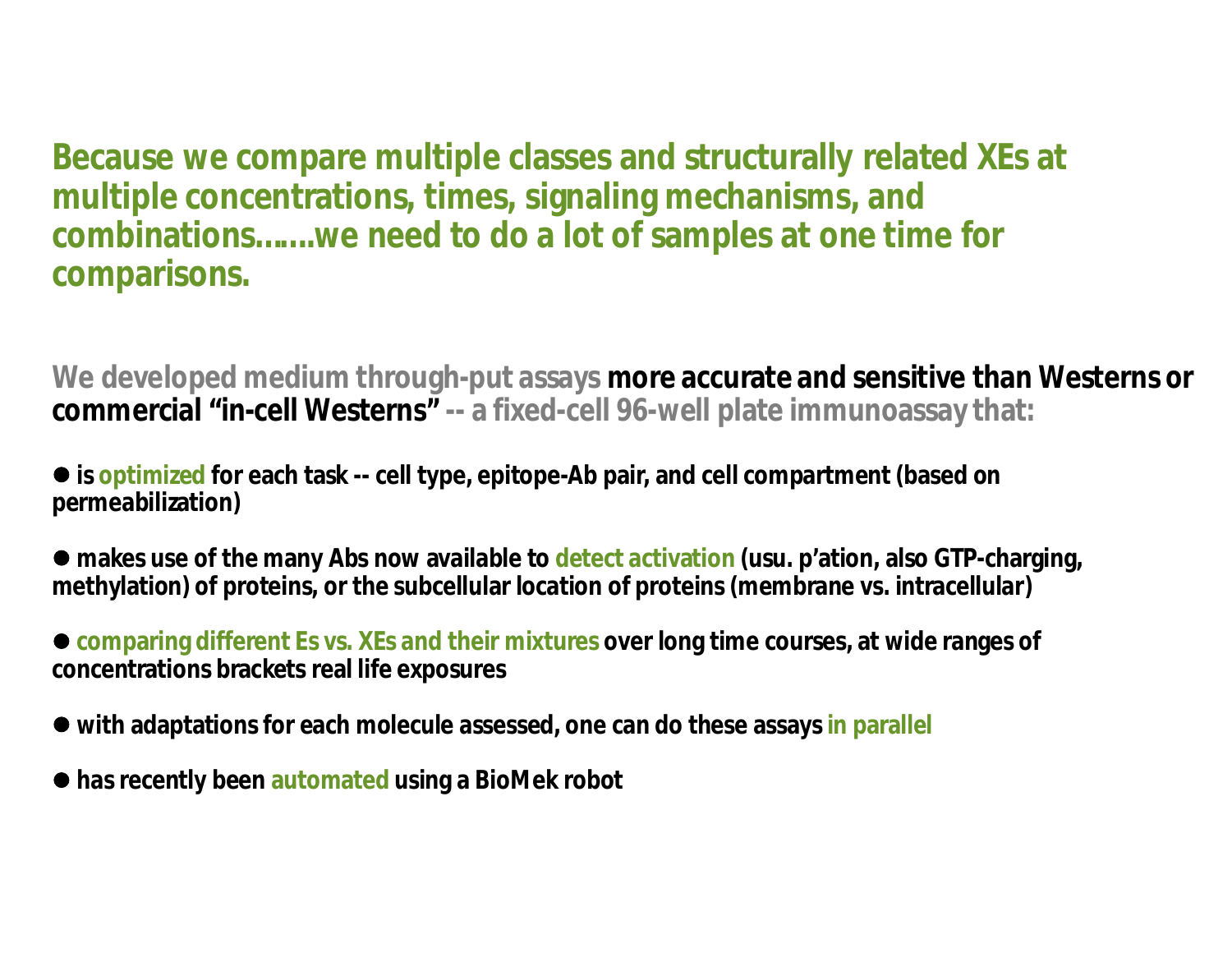**Because we compare multiple classes and structurally related XEs at multiple concentrations, times, signaling mechanisms, and combinations…….we need to do a lot of samples at one time for comparisons.**

**We developed medium through-put assays more accurate and sensitive than Westerns or commercial "in-cell Westerns" -- a fixed-cell 96-well plate immunoassay that:**

● is **optimized** for each task -- cell type, epitope-Ab pair, and cell compartment (based on **permeabilization)**

l **makes use of the many Abs now available to detect activation (usu. p'ation, also GTP-charging, methylation) of proteins, or the subcellular location of proteins (membrane vs. intracellular)**

l **comparing different Es vs. XEs and their mixtures over long time courses, at wide ranges of concentrations brackets real life exposures**

• with adaptations for each molecule assessed, one can do these assays in parallel

l **has recently been automated using a BioMek robot**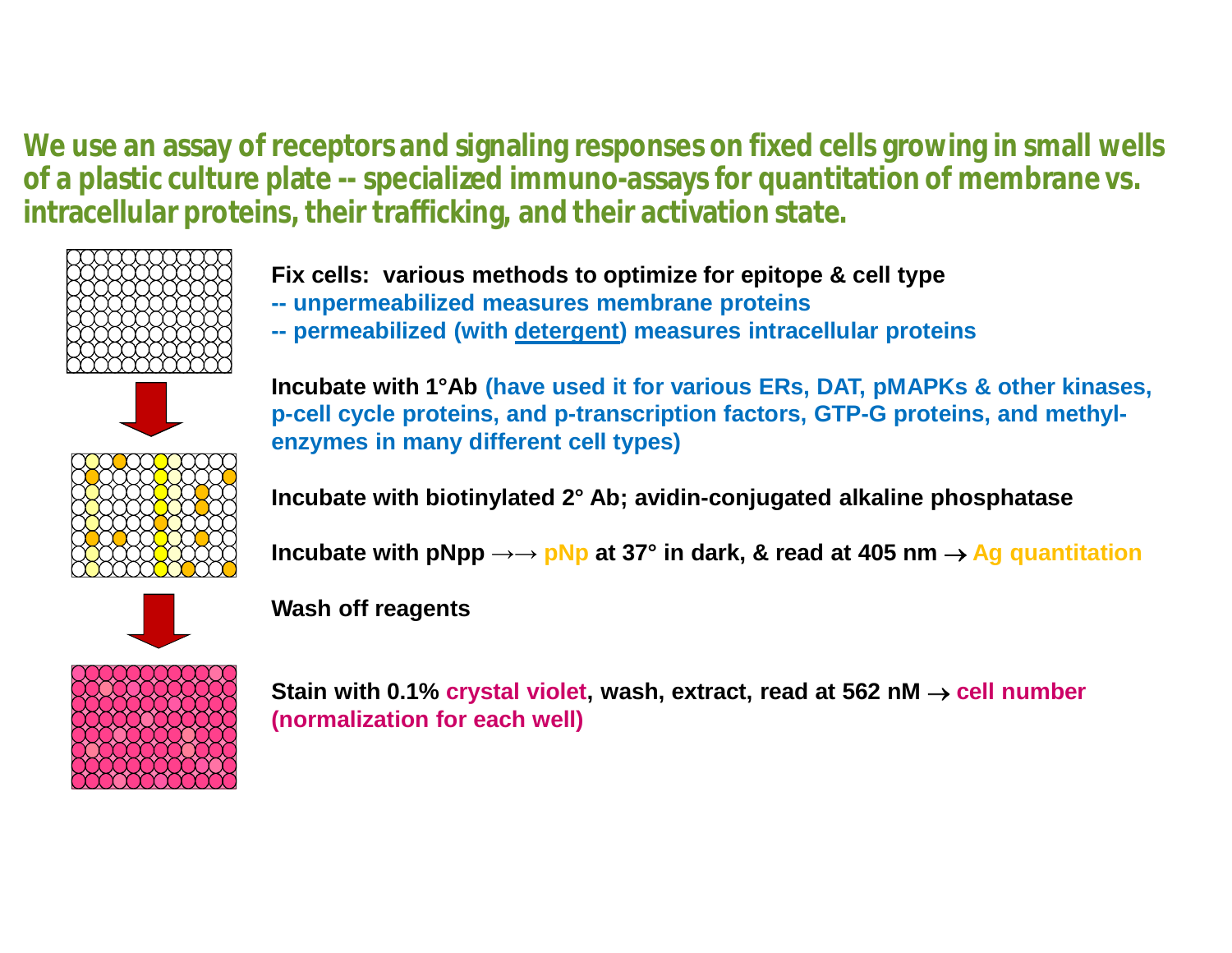**We use an assay of receptors and signaling responses on fixed cells growing in small wells of a plastic culture plate -- specialized immuno-assays for quantitation of membrane vs. intracellular proteins, their trafficking, and their activation state.**





- **-- unpermeabilized measures membrane proteins**
- **-- permeabilized (with detergent) measures intracellular proteins**



**Incubate with 1°Ab (have used it for various ERs, DAT, pMAPKs & other kinases, p-cell cycle proteins, and p-transcription factors, GTP-G proteins, and methylenzymes in many different cell types)**

**Incubate with biotinylated 2° Ab; avidin-conjugated alkaline phosphatase**

Incubate with  $pNpp \rightarrow \rightarrow pNp$  at 37° in dark, & read at 405 nm  $\rightarrow$  Ag quantitation



**Wash off reagents**

**Stain with 0.1% crystal violet, wash, extract, read at 562 nM**  $\rightarrow$  **cell number (normalization for each well)**